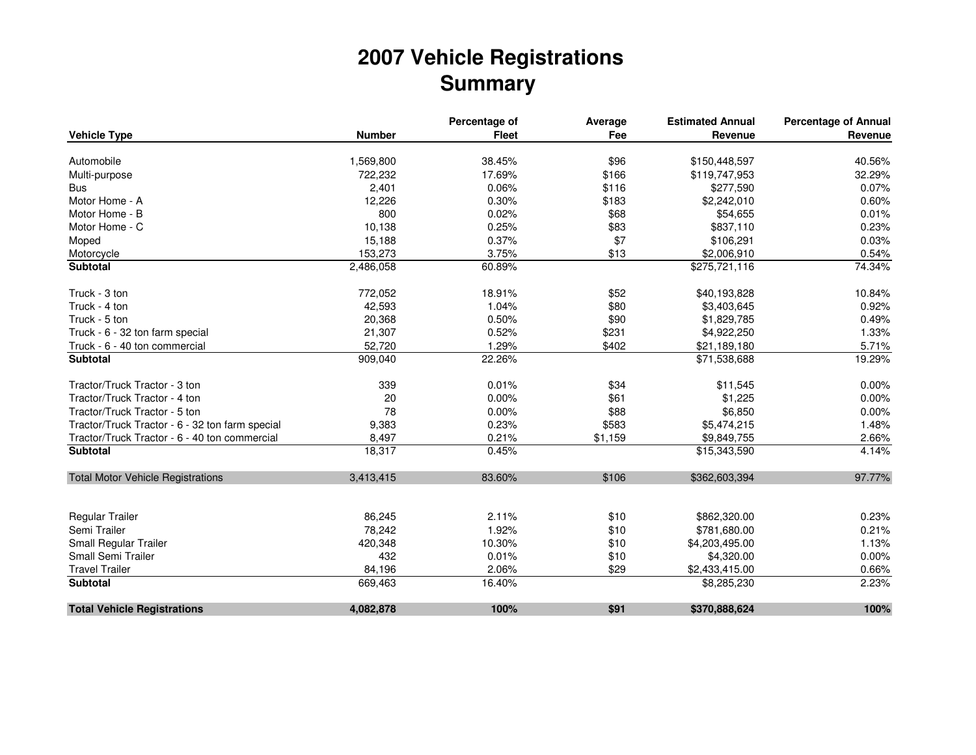## **2007 Vehicle RegistrationsSummary**

|                                                 |               | Percentage of | Average | <b>Estimated Annual</b> | <b>Percentage of Annual</b> |
|-------------------------------------------------|---------------|---------------|---------|-------------------------|-----------------------------|
| <b>Vehicle Type</b>                             | <b>Number</b> | <b>Fleet</b>  | Fee     | Revenue                 | Revenue                     |
| Automobile                                      | 1,569,800     | 38.45%        | \$96    | \$150,448,597           | 40.56%                      |
| Multi-purpose                                   | 722,232       | 17.69%        | \$166   | \$119,747,953           | 32.29%                      |
| <b>Bus</b>                                      | 2,401         | 0.06%         | \$116   | \$277,590               | 0.07%                       |
| Motor Home - A                                  | 12,226        | 0.30%         | \$183   | \$2,242,010             | 0.60%                       |
| Motor Home - B                                  | 800           | 0.02%         | \$68    | \$54,655                | 0.01%                       |
| Motor Home - C                                  | 10,138        | 0.25%         | \$83    | \$837,110               | 0.23%                       |
| Moped                                           | 15,188        | 0.37%         | \$7     | \$106,291               | 0.03%                       |
| Motorcycle                                      | 153,273       | 3.75%         | \$13    | \$2,006,910             | 0.54%                       |
| Subtotal                                        | 2,486,058     | 60.89%        |         | \$275,721,116           | 74.34%                      |
|                                                 |               |               |         |                         |                             |
| Truck - 3 ton                                   | 772,052       | 18.91%        | \$52    | \$40,193,828            | 10.84%                      |
| Truck - 4 ton                                   | 42,593        | 1.04%         | \$80    | \$3,403,645             | 0.92%                       |
| Truck - 5 ton                                   | 20,368        | 0.50%         | \$90    | \$1,829,785             | 0.49%                       |
| Truck - 6 - 32 ton farm special                 | 21,307        | 0.52%         | \$231   | \$4,922,250             | 1.33%                       |
| Truck - 6 - 40 ton commercial                   | 52,720        | 1.29%         | \$402   | \$21,189,180            | 5.71%                       |
| <b>Subtotal</b>                                 | 909,040       | 22.26%        |         | \$71,538,688            | 19.29%                      |
| Tractor/Truck Tractor - 3 ton                   | 339           | 0.01%         | \$34    | \$11,545                | 0.00%                       |
| Tractor/Truck Tractor - 4 ton                   | 20            | 0.00%         | \$61    | \$1,225                 | 0.00%                       |
| Tractor/Truck Tractor - 5 ton                   | 78            | 0.00%         | \$88    | \$6,850                 | 0.00%                       |
| Tractor/Truck Tractor - 6 - 32 ton farm special | 9,383         | 0.23%         | \$583   | \$5,474,215             | 1.48%                       |
| Tractor/Truck Tractor - 6 - 40 ton commercial   | 8,497         | 0.21%         | \$1,159 | \$9,849,755             | 2.66%                       |
| <b>Subtotal</b>                                 | 18,317        | 0.45%         |         | \$15,343,590            | 4.14%                       |
| <b>Total Motor Vehicle Registrations</b>        | 3,413,415     | 83.60%        | \$106   | \$362,603,394           | 97.77%                      |
|                                                 |               |               |         |                         |                             |
| <b>Regular Trailer</b>                          | 86,245        | 2.11%         | \$10    | \$862,320.00            | 0.23%                       |
| Semi Trailer                                    | 78,242        | 1.92%         | \$10    | \$781,680.00            | 0.21%                       |
| Small Regular Trailer                           | 420,348       | 10.30%        | \$10    | \$4,203,495.00          | 1.13%                       |
| Small Semi Trailer                              | 432           | 0.01%         | \$10    | \$4,320.00              | 0.00%                       |
| <b>Travel Trailer</b>                           | 84,196        | 2.06%         | \$29    | \$2,433,415.00          | 0.66%                       |
| Subtotal                                        | 669,463       | 16.40%        |         | \$8,285,230             | 2.23%                       |
| <b>Total Vehicle Registrations</b>              | 4,082,878     | 100%          | \$91    | \$370,888,624           | 100%                        |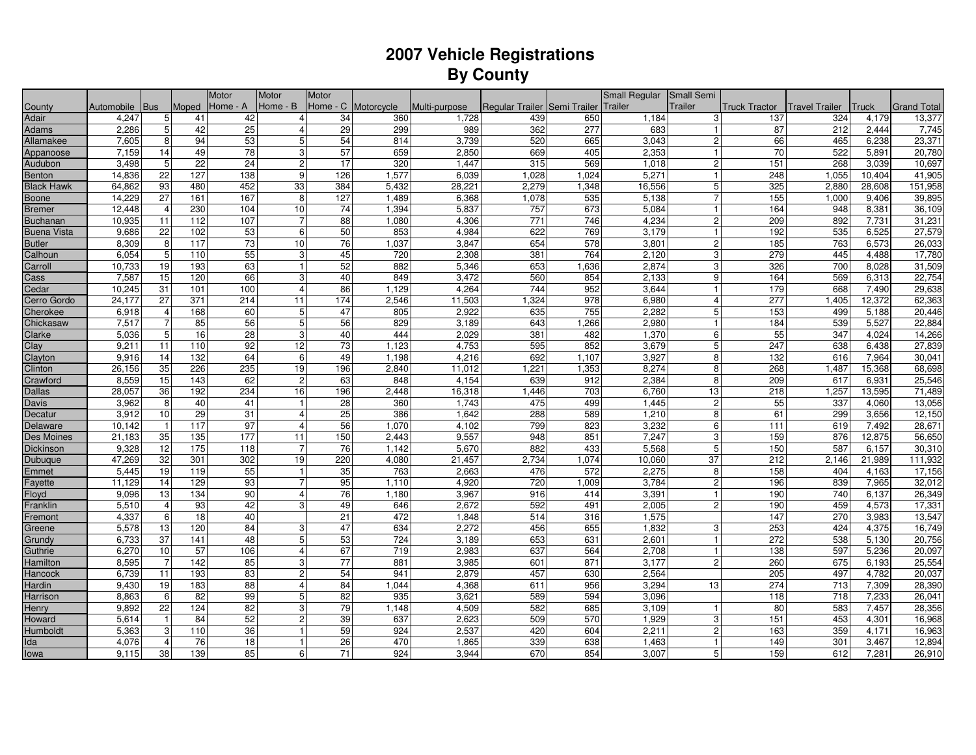## **2007 Vehicle Registrations By County**

|                    |            |                 |                  | Motor           | Motor          | Motor           |                     |               |                                      |                  | Small Regular | Small Semi       |                      |                       |        |                    |
|--------------------|------------|-----------------|------------------|-----------------|----------------|-----------------|---------------------|---------------|--------------------------------------|------------------|---------------|------------------|----------------------|-----------------------|--------|--------------------|
| County             | Automobile | <b>Bus</b>      | Moped            | Home - A        | Home - B       |                 | Home - C Motorcycle | Multi-purpose | Regular Trailer Semi Trailer Trailer |                  |               | <b>Trailer</b>   | <b>Truck Tractor</b> | <b>Travel Trailer</b> | Truck  | <b>Grand Total</b> |
| Adair              | 4,247      | 5 <sub>5</sub>  | 41               | 42              | $\overline{4}$ | 34              | 360                 | 1,728         | 439                                  | 650              | 1,184         | 3                | 137                  | 324                   | 4,179  | 13,377             |
| Adams              | 2,286      | 5               | 42               | 25              | $\overline{4}$ | 29              | 299                 | 989           | 362                                  | $\overline{277}$ | 683           | 1 <sup>1</sup>   | 87                   | $\overline{212}$      | 2,444  | 7,745              |
| Allamakee          | 7,605      | 8               | 94               | 53              | 5              | 54              | 814                 | 3,739         | 520                                  | 665              | 3,043         | $2 \overline{ }$ | 66                   | 465                   | 6,238  | 23,371             |
| Appanoose          | 7,159      | 14              | 49               | 78              | 3              | 57              | 659                 | 2,850         | 669                                  | 405              | 2,353         | 1 <sup>1</sup>   | 70                   | 522                   | 5,891  | 20,780             |
| Audubon            | 3,498      | 5               | 22               | 24              | $\overline{c}$ | 17              | 320                 | 1,447         | 315                                  | 569              | 1,018         | 2 <sub>l</sub>   | 151                  | 268                   | 3,039  | 10,697             |
| Benton             | 14,836     | 22              | 127              | 138             | 9              | 126             | 1,577               | 6,039         | 1,028                                | 1,024            | 5,271         | $\mathbf{1}$     | 248                  | 1,055                 | 10,404 | 41,905             |
| <b>Black Hawk</b>  | 64,862     | 93              | 480              | 452             | 33             | 384             | 5,432               | 28,221        | 2,279                                | 1,348            | 16,556        | 5 <sup>1</sup>   | 325                  | 2,880                 | 28,608 | 151,958            |
| Boone              | 14,229     | 27              | 161              | 167             | 8              | 127             | 1,489               | 6,368         | 1,078                                | 535              | 5,138         | $\overline{7}$   | 155                  | 1,000                 | 9,406  | 39,895             |
| <b>Bremer</b>      | 12,448     | $\overline{4}$  | 230              | 104             | 10             | 74              | 1,394               | 5,837         | 757                                  | 673              | 5,084         | 1                | 164                  | 948                   | 8,381  | 36,109             |
| <b>Buchanan</b>    | 10,935     | 11              | 112              | 107             | $\overline{7}$ | 88              | 1,080               | 4,306         | 771                                  | 746              | 4,234         | $2 \overline{ }$ | 209                  | 892                   | 7,731  | 31,231             |
| <b>Buena Vista</b> | 9,686      | 22              | 102              | 53              | 6              | 50              | 853                 | 4,984         | 622                                  | 769              | 3,179         | $\mathbf{1}$     | 192                  | 535                   | 6,525  | 27,579             |
| <b>Butler</b>      | 8,309      | 8               | 117              | $\overline{73}$ | 10             | 76              | 1,037               | 3,847         | 654                                  | 578              | 3,801         | 2 <sub>l</sub>   | 185                  | 763                   | 6,573  | 26,033             |
| Calhoun            | 6,054      | 5               | 110              | 55              | 3              | 45              | 720                 | 2,308         | 381                                  | 764              | 2,120         | 3                | 279                  | 445                   | 4,488  | 17,780             |
| Carroll            | 10,733     | 19              | 193              | 63              | $\mathbf{1}$   | 52              | 882                 | 5,346         | 653                                  | 1,636            | 2,874         | 3                | 326                  | 700                   | 8,028  | 31,509             |
| Cass               | 7,587      | 15              | 120              | 66              | 3              | 40              | 849                 | 3,472         | 560                                  | 854              | 2,133         | 9 <sup>1</sup>   | 164                  | 569                   | 6,313  | 22,754             |
| Cedar              | 10,245     | 31              | 101              | 100             | $\overline{4}$ | 86              | 1,129               | 4,264         | 744                                  | 952              | 3,644         | $\vert$ 1        | 179                  | 668                   | 7,490  | 29,638             |
| Cerro Gordo        | 24,177     | 27              | $\overline{371}$ | 214             | 11             | 174             | 2,546               | 11,503        | 1,324                                | 978              | 6,980         | $\overline{4}$   | 277                  | 1,405                 | 12,372 | 62,363             |
| Cherokee           | 6,918      | $\overline{4}$  | 168              | 60              | 5              | 47              | 805                 | 2,922         | 635                                  | 755              | 2,282         | 5 <sup>1</sup>   | 153                  | 499                   | 5,188  | 20,446             |
| Chickasaw          | 7,517      | $\overline{7}$  | 85               | 56              | 5              | 56              | 829                 | 3,189         | 643                                  | 1,266            | 2,980         | $\vert$ 1        | 184                  | 539                   | 5,527  | 22,884             |
| Clarke             | 5,036      | $5\phantom{.0}$ | 16               | 28              | 3              | 40              | 444                 | 2,029         | 381                                  | 482              | 1,370         | 6                | 55                   | 347                   | 4,024  | 14,266             |
| Clay               | 9,211      | 11              | 110              | 92              | 12             | $\overline{73}$ | 1,123               | 4,753         | 595                                  | 852              | 3,679         | 5 <sup>1</sup>   | 247                  | 638                   | 6,438  | 27,839             |
| Clayton            | 9,916      | 14              | 132              | 64              | 6              | 49              | 1,198               | 4,216         | 692                                  | 1,107            | 3,927         | 8                | 132                  | 616                   | 7,964  | 30,041             |
| Clinton            | 26,156     | 35              | 226              | 235             | 19             | 196             | 2,840               | 11,012        | 1,221                                | 1,353            | 8,274         | 8                | 268                  | 1,487                 | 15,368 | 68,698             |
| Crawford           | 8,559      | 15              | 143              | 62              | $\overline{c}$ | 63              | 848                 | 4,154         | 639                                  | 912              | 2,384         | 8                | 209                  | 617                   | 6,931  | 25,546             |
| <b>Dallas</b>      | 28,057     | 36              | 192              | 234             | 16             | 196             | 2,448               | 16,318        | 1,446                                | $\overline{703}$ | 6,760         | 13               | 218                  | 1,257                 | 13,595 | 71,489             |
| <b>Davis</b>       | 3,962      | 8               | 40               | 41              | $\mathbf{1}$   | 28              | 360                 | 1,743         | 475                                  | 499              | 1,445         | $\overline{c}$   | 55                   | 337                   | 4,060  | 13,056             |
| Decatur            | 3,912      | 10              | 29               | 31              | $\overline{4}$ | $\overline{25}$ | 386                 | 1,642         | 288                                  | 589              | 1,210         | 8                | 61                   | 299                   | 3,656  | 12,150             |
| Delaware           | 10,142     | $\mathbf{1}$    | 117              | 97              | $\overline{4}$ | 56              | 1,070               | 4,102         | 799                                  | 823              | 3,232         | $6 \overline{6}$ | 111                  | 619                   | 7,492  | 28,671             |
| Des Moines         | 21,183     | 35              | 135              | 177             | 11             | 150             | 2,443               | 9,557         | 948                                  | 851              | 7,247         | 3                | 159                  | 876                   | 12,875 | 56,650             |
| Dickinson          | 9,328      | $\overline{12}$ | 175              | 118             | $\overline{7}$ | 76              | 1,142               | 5,670         | 882                                  | 433              | 5,568         | 5 <sup>1</sup>   | 150                  | 587                   | 6,157  | 30,310             |
| Dubuque            | 47,269     | 32              | 301              | 302             | 19             | 220             | 4,080               | 21,457        | 2,734                                | 1,074            | 10,060        | 37               | 212                  | 2,146                 | 21,989 | 111,932            |
| Emmet              | 5,445      | 19              | 119              | 55              | $\mathbf{1}$   | 35              | 763                 | 2,663         | 476                                  | 572              | 2,275         | 8                | 158                  | 404                   | 4,163  | 17,156             |
| Fayette            | 11,129     | 14              | 129              | 93              | $\overline{7}$ | 95              | 1,110               | 4,920         | 720                                  | 1,009            | 3,784         | $\overline{2}$   | 196                  | 839                   | 7,965  | 32,012             |
| Floyd              | 9,096      | 13              | 134              | 90              | $\overline{4}$ | 76              | 1,180               | 3,967         | 916                                  | 414              | 3,391         | 1                | 190                  | 740                   | 6,137  | 26,349             |
| Franklin           | 5,510      | $\overline{4}$  | $\overline{93}$  | 42              | 3              | 49              | 646                 | 2,672         | 592                                  | 491              | 2,005         | $\overline{2}$   | 190                  | 459                   | 4,573  | 17,331             |
| Fremont            | 4,337      | 6               | 18               | 40              |                | $\overline{21}$ | 472                 | 1,848         | 514                                  | 316              | 1,575         |                  | 147                  | 270                   | 3,983  | 13,547             |
| Greene             | 5,578      | 13              | 120              | 84              | 3              | 47              | 634                 | 2,272         | 456                                  | 655              | 1,832         | 3                | 253                  | 424                   | 4,375  | 16,749             |
| Grundy             | 6,733      | 37              | 141              | 48              | 5              | 53              | 724                 | 3,189         | 653                                  | 631              | 2,601         | 1                | 272                  | 538                   | 5,130  | 20,756             |
| Guthrie            | 6,270      | 10              | 57               | 106             | $\overline{4}$ | 67              | 719                 | 2,983         | 637                                  | 564              | 2,708         | $\vert$ 1        | 138                  | 597                   | 5,236  | 20,097             |
| Hamilton           | 8,595      | $\overline{7}$  | 142              | 85              | 3              | 77              | 881                 | 3,985         | 601                                  | 871              | 3,177         | $2 \overline{ }$ | 260                  | 675                   | 6,193  | 25,554             |
| Hancock            | 6,739      | 11              | 193              | 83              | $\overline{2}$ | 54              | 941                 | 2,879         | 457                                  | 630              | 2,564         |                  | 205                  | 497                   | 4,782  | 20,037             |
| <b>Hardin</b>      | 9,430      | 19              | 183              | 88              | $\overline{4}$ | 84              | 1,044               | 4,368         | 611                                  | 956              | 3,294         | 13               | 274                  | 713                   | 7,309  | 28,390             |
| Harrison           | 8,863      | 6               | $\overline{82}$  | 99              | 5              | 82              | 935                 | 3,621         | 589                                  | 594              | 3,096         |                  | 118                  | $\overline{718}$      | 7,233  | 26,041             |
| Henry              | 9,892      | 22              | 124              | 82              | 3              | 79              | 1,148               | 4,509         | 582                                  | 685              | 3,109         | $\vert$ 1        | 80                   | 583                   | 7,457  | 28,356             |
| Howard             | 5,614      | $\mathbf{1}$    | 84               | 52              | $\overline{2}$ | 39              | 637                 | 2,623         | 509                                  | 570              | 1,929         | 3                | 151                  | 453                   | 4,301  | 16,968             |
| Humboldt           | 5,363      | 3               | 110              | 36              | $\mathbf{1}$   | 59              | 924                 | 2,537         | 420                                  | 604              | 2,211         | 2 <sub>l</sub>   | 163                  | 359                   | 4,171  | 16,963             |
| Ida                | 4,076      | $\overline{4}$  | 76               | 18              | $\overline{1}$ | 26              | 470                 | 1,865         | 339                                  | 638              | 1,463         | $\vert$ 1        | 149                  | 301                   | 3,467  | 12,894             |
| lowa               | 9,115      | 38              | 139              | 85              | 6              | 71              | 924                 | 3.944         | 670                                  | 854              | 3,007         | 5 <sup>1</sup>   | 159                  | 612                   | 7,281  | 26,910             |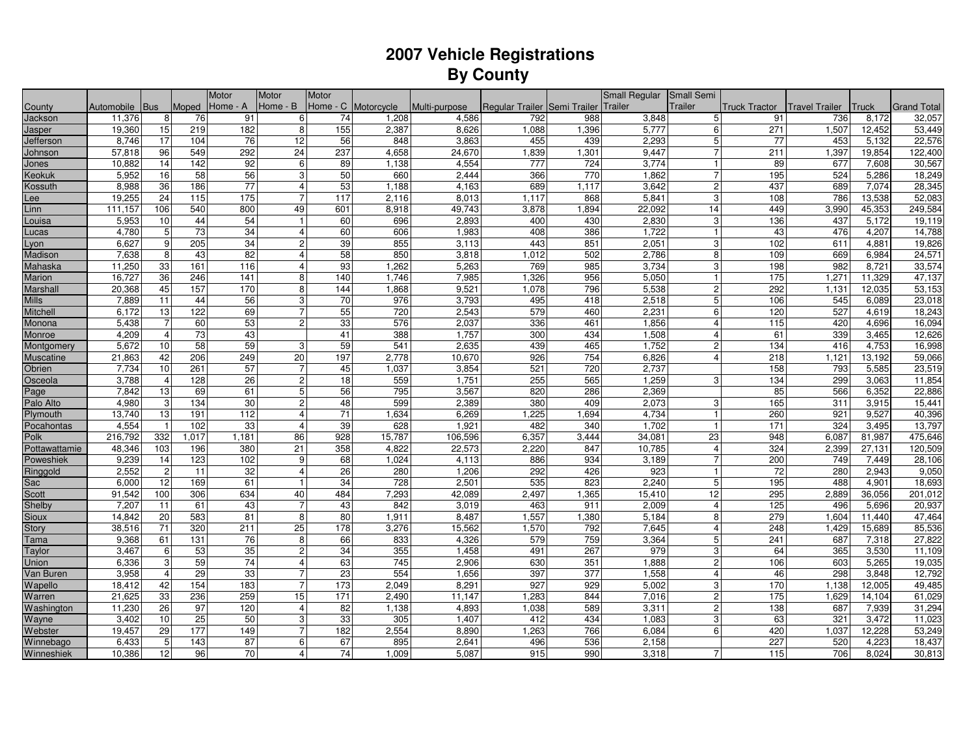## **2007 Vehicle Registrations By County**

|                  |            |                 |       | Motor           | Motor          | Motor           |                     |               |                                      |       | Small Regular | Small Semi              |                      |                       |        |                    |
|------------------|------------|-----------------|-------|-----------------|----------------|-----------------|---------------------|---------------|--------------------------------------|-------|---------------|-------------------------|----------------------|-----------------------|--------|--------------------|
| County           | Automobile | Bus             | Moped | Home - A        | Home - B       |                 | Home - C Motorcycle | Multi-purpose | Regular Trailer Semi Trailer Trailer |       |               | Trailer                 | <b>Truck Tractor</b> | <b>Travel Trailer</b> | Truck  | <b>Grand Total</b> |
| Jackson          | 11,376     | 8               | 76    | 91              | 6              | 74              | 1,208               | 4,586         | 792                                  | 988   | 3,848         | 5 <sub>l</sub>          | 91                   | 736                   | 8,172  | 32,057             |
| Jasper           | 19,360     | 15              | 219   | 182             | 8              | 155             | 2,387               | 8,626         | 1,088                                | 1,396 | 5,777         | $6 \overline{6}$        | 271                  | 1,507                 | 12,452 | 53,449             |
| Jefferson        | 8,746      | 17              | 104   | 76              | 12             | 56              | 848                 | 3,863         | 455                                  | 439   | 2,293         | 5 <sup>1</sup>          | 77                   | 453                   | 5,132  | 22,576             |
| Johnson          | 57,818     | 96              | 549   | 292             | 24             | 237             | 4,658               | 24,670        | 1,839                                | 1,301 | 9,447         | $\overline{7}$          | 211                  | 1,397                 | 19,854 | 122,400            |
| Jones            | 10,882     | 14              | 142   | 92              | 6              | 89              | 1,138               | 4,554         | 777                                  | 724   | 3,774         | 1                       | 89                   | 677                   | 7,608  | 30,567             |
| Keokuk           | 5,952      | 16              | 58    | 56              | 3              | 50              | 660                 | 2,444         | 366                                  | 770   | 1,862         | $\overline{7}$          | 195                  | 524                   | 5,286  | 18,249             |
| Kossuth          | 8,988      | 36              | 186   | 77              | $\overline{4}$ | 53              | 1,188               | 4,163         | 689                                  | 1,117 | 3,642         | $\overline{2}$          | 437                  | 689                   | 7,074  | 28,345             |
| Lee              | 19,255     | 24              | 115   | 175             | $\overline{7}$ | 117             | 2,116               | 8,013         | 1,117                                | 868   | 5,841         | 3                       | 108                  | 786                   | 13,538 | 52,083             |
| Linn             | 111,157    | 106             | 540   | 800             | 49             | 601             | 8,918               | 49,743        | 3,878                                | 1,894 | 22,092        | 14                      | 449                  | 3,990                 | 45,353 | 249,584            |
| Louisa           | 5,953      | 10              | 44    | 54              | $\mathbf{1}$   | 60              | 696                 | 2,893         | 400                                  | 430   | 2,830         | 3                       | 136                  | 437                   | 5,172  | 19,119             |
| ucas             | 4,780      | $\overline{5}$  | 73    | 34              | $\overline{4}$ | 60              | 606                 | 1,983         | 408                                  | 386   | 1,722         | $\vert$                 | 43                   | 476                   | 4,207  | 14,788             |
| Lyon             | 6,627      | 9               | 205   | 34              | $\overline{c}$ | 39              | 855                 | 3,113         | 443                                  | 851   | 2,051         | 3                       | 102                  | 611                   | 4,881  | 19,826             |
| Madison          | 7,638      | 8               | 43    | 82              | $\overline{4}$ | 58              | 850                 | 3,818         | 1,012                                | 502   | 2,786         | 8                       | 109                  | 669                   | 6,984  | 24,571             |
| Mahaska          | 11,250     | 33              | 161   | 116             | $\overline{4}$ | 93              | 1,262               | 5,263         | 769                                  | 985   | 3,734         | 3                       | 198                  | 982                   | 8,721  | 33,574             |
| Marion           | 16,727     | 36              | 246   | 141             | 8              | 140             | 1.746               | 7,985         | 1,326                                | 956   | 5,050         | $\vert$ 1               | 175                  | 1,271                 | 11,329 | 47,137             |
| Marshall         | 20,368     | 45              | 157   | 170             | 8              | 144             | 1,868               | 9,521         | 1,078                                | 796   | 5,538         | $2 \overline{ }$        | 292                  | 1,131                 | 12,035 | 53,153             |
| <b>Mills</b>     | 7,889      | 11              | 44    | 56              | 3              | $\overline{70}$ | 976                 | 3,793         | 495                                  | 418   | 2,518         | 5 <sup>1</sup>          | 106                  | 545                   | 6,089  | 23,018             |
| Mitchell         | 6,172      | 13              | 122   | 69              | $\overline{7}$ | 55              | 720                 | 2,543         | 579                                  | 460   | 2,231         | 6                       | 120                  | 527                   | 4,619  | 18,243             |
| Monona           | 5,438      | $\overline{7}$  | 60    | 53              | $\overline{c}$ | 33              | 576                 | 2,037         | 336                                  | 461   | 1,856         | 4                       | 115                  | 420                   | 4,696  | 16,094             |
| Monroe           | 4,209      | $\overline{4}$  | 73    | 43              |                | 41              | 388                 | 1,757         | 300                                  | 434   | 1,508         | $\overline{4}$          | 61                   | 339                   | 3,465  | 12,626             |
| Montgomery       | 5,672      | 10              | 58    | 59              | 3              | 59              | 541                 | 2,635         | 439                                  | 465   | 1,752         | $2 \overline{ }$        | 134                  | 416                   | 4,753  | 16,998             |
| <b>Muscatine</b> | 21,863     | 42              | 206   | 249             | 20             | 197             | 2,778               | 10,670        | 926                                  | 754   | 6,826         | 4                       | $\overline{218}$     | 1,121                 | 13,192 | 59,066             |
| Obrien           | 7,734      | 10              | 261   | 57              | $\overline{7}$ | 45              | 1,037               | 3,854         | 521                                  | 720   | 2,737         |                         | 158                  | 793                   | 5,585  | 23,519             |
| Osceola          | 3,788      | $\overline{4}$  | 128   | $\overline{26}$ | $\sqrt{2}$     | 18              | 559                 | 1,751         | 255                                  | 565   | 1,259         | 3                       | 134                  | 299                   | 3,063  | 11,854             |
| Page             | 7,842      | 13              | 69    | 61              | 5              | 56              | 795                 | 3,567         | 820                                  | 286   | 2,369         |                         | 85                   | 566                   | 6,352  | 22,886             |
| Palo Alto        | 4,980      | 3               | 134   | 30              | $\sqrt{2}$     | 48              | 599                 | 2,389         | 380                                  | 409   | 2,073         | 3                       | 165                  | 311                   | 3,915  | 15,441             |
| Plymouth         | 13,740     | 13              | 191   | 112             | $\overline{4}$ | $\overline{71}$ | 1,634               | 6,269         | 1,225                                | 1,694 | 4,734         | $\vert$                 | 260                  | 921                   | 9,527  | 40,396             |
| Pocahontas       | 4,554      | $\mathbf{1}$    | 102   | 33              | $\overline{4}$ | 39              | 628                 | 1,921         | 482                                  | 340   | 1,702         | $\vert$ 1               | 171                  | 324                   | 3,495  | 13,797             |
| Polk             | 216,792    | 332             | 1,017 | 1,181           | 86             | 928             | 15,787              | 106,596       | 6,357                                | 3,444 | 34,081        | 23                      | 948                  | 6,087                 | 81,987 | 475,646            |
| Pottawattamie    | 48,346     | 103             | 196   | 380             | 21             | 358             | 4,822               | 22,573        | 2,220                                | 847   | 10,785        | $\overline{4}$          | 324                  | 2,399                 | 27,131 | 120,509            |
| Poweshiek        | 9,239      | 14              | 123   | 102             | 9              | 68              | 1,024               | 4,113         | 886                                  | 934   | 3,189         | $\overline{7}$          | 200                  | 749                   | 7,449  | 28,106             |
| Ringgold         | 2,552      | $\overline{c}$  | 11    | 32              | $\overline{4}$ | 26              | 280                 | 1,206         | 292                                  | 426   | 923           | $\mathbf{1}$            | 72                   | 280                   | 2,943  | 9,050              |
| Sac              | 6,000      | $\overline{12}$ | 169   | 61              | $\overline{1}$ | 34              | 728                 | 2,501         | 535                                  | 823   | 2,240         | 5 <sup>1</sup>          | 195                  | 488                   | 4,901  | 18,693             |
| Scott            | 91,542     | 100             | 306   | 634             | 40             | 484             | 7,293               | 42,089        | 2,497                                | 1,365 | 15,410        | 12                      | 295                  | 2,889                 | 36,056 | 201,012            |
| Shelby           | 7,207      | 11              | 61    | 43              | $\overline{7}$ | 43              | 842                 | 3,019         | 463                                  | 911   | 2,009         | $\overline{4}$          | 125                  | 496                   | 5,696  | 20,937             |
| Sioux            | 14,842     | 20              | 583   | 81              | 8              | 80              | 1,911               | 8,487         | 1,557                                | 1,380 | 5,184         | 8                       | 279                  | 1,604                 | 11,440 | 47,464             |
| Story            | 38,516     | 71              | 320   | 211             | 25             | 178             | 3,276               | 15,562        | 1,570                                | 792   | 7,645         | $\overline{\mathbf{4}}$ | 248                  | 1,429                 | 15,689 | 85,536             |
| Tama             | 9,368      | 61              | 131   | 76              | 8              | 66              | 833                 | 4,326         | 579                                  | 759   | 3,364         | 5 <sup>1</sup>          | 241                  | 687                   | 7,318  | 27,822             |
| Taylor           | 3,467      | 6               | 53    | 35              | $\overline{c}$ | 34              | 355                 | 1,458         | 491                                  | 267   | 979           | 3                       | 64                   | 365                   | 3,530  | 11,109             |
| Union            | 6,336      | 3               | 59    | 74              | $\overline{4}$ | 63              | 745                 | 2,906         | 630                                  | 351   | 1,888         | $2 \overline{ }$        | 106                  | 603                   | 5,265  | 19,035             |
| Van Buren        | 3,958      | $\overline{4}$  | 29    | 33              | $\overline{7}$ | 23              | 554                 | 1,656         | 397                                  | 377   | 1,558         | $\overline{4}$          | 46                   | 298                   | 3,848  | 12,792             |
| Wapello          | 18,412     | 42              | 154   | 183             | $\overline{7}$ | 173             | 2,049               | 8,291         | 927                                  | 929   | 5,002         | 3                       | 170                  | 1,138                 | 12,005 | 49,485             |
| Warren           | 21,625     | 33              | 236   | 259             | 15             | $\frac{1}{171}$ | 2,490               | 11,147        | 1,283                                | 844   | 7,016         | $2 \vert$               | $\frac{175}{2}$      | 1,629                 | 14,104 | 61,029             |
| Washington       | 11,230     | 26              | 97    | 120             | $\overline{4}$ | $\overline{82}$ | 1,138               | 4,893         | 1,038                                | 589   | 3,311         | $\mathbf{2}$            | 138                  | 687                   | 7,939  | 31,294             |
| Wayne            | 3,402      | 10              | 25    | 50              | 3              | 33              | 305                 | 1,407         | 412                                  | 434   | 1,083         | 3                       | 63                   | 321                   | 3,472  | 11,023             |
| Webster          | 19,457     | 29              | 177   | 149             | $\overline{7}$ | 182             | 2,554               | 8,890         | 1,263                                | 766   | 6,084         | $6 \overline{6}$        | 420                  | 1,037                 | 12,228 | 53,249             |
| Winnebago        | 6,433      | 5               | 143   | 87              | 6              | 67              | 895                 | 2,641         | 496                                  | 536   | 2,158         |                         | 227                  | 520                   | 4,223  | 18,437             |
| Winneshiek       | 10,386     | 12              | 96    | 70              | $\overline{4}$ | 74              | 1,009               | 5.087         | 915                                  | 990   | 3,318         | $\overline{7}$          | 115                  | 706                   | 8.024  | 30,813             |